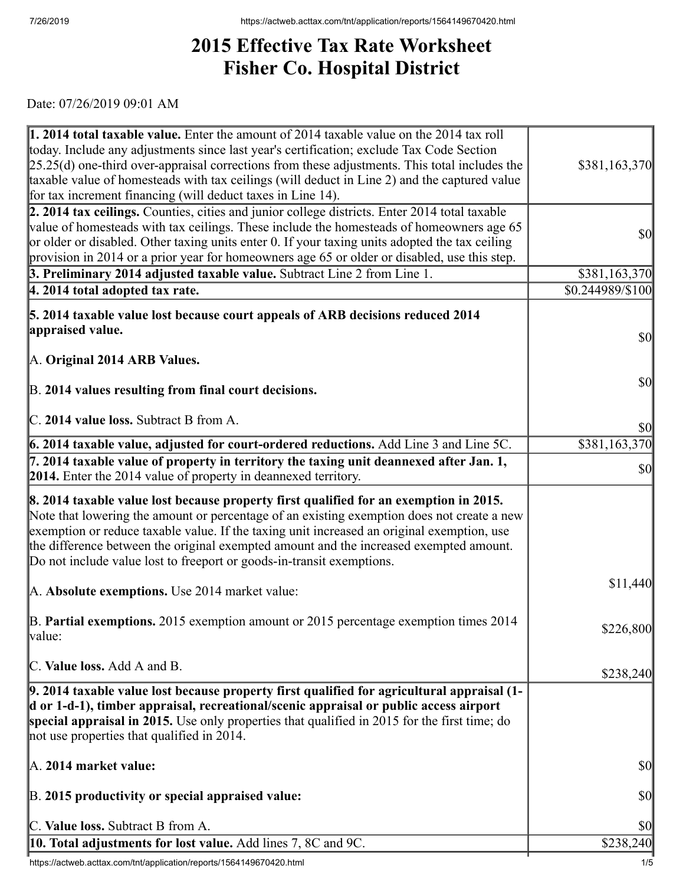## **2015 Effective Tax Rate Worksheet Fisher Co. Hospital District**

Date: 07/26/2019 09:01 AM

| $\vert$ 1. 2014 total taxable value. Enter the amount of 2014 taxable value on the 2014 tax roll                                                                                            |                                     |
|---------------------------------------------------------------------------------------------------------------------------------------------------------------------------------------------|-------------------------------------|
| today. Include any adjustments since last year's certification; exclude Tax Code Section                                                                                                    |                                     |
| $[25.25(d)$ one-third over-appraisal corrections from these adjustments. This total includes the                                                                                            | \$381,163,370                       |
| taxable value of homesteads with tax ceilings (will deduct in Line 2) and the captured value                                                                                                |                                     |
| for tax increment financing (will deduct taxes in Line 14).                                                                                                                                 |                                     |
| 2. 2014 tax ceilings. Counties, cities and junior college districts. Enter 2014 total taxable                                                                                               |                                     |
| value of homesteads with tax ceilings. These include the homesteads of homeowners age 65                                                                                                    | $\vert \$\text{O}\vert$             |
| or older or disabled. Other taxing units enter 0. If your taxing units adopted the tax ceiling                                                                                              |                                     |
| provision in 2014 or a prior year for homeowners age 65 or older or disabled, use this step.                                                                                                |                                     |
| 3. Preliminary 2014 adjusted taxable value. Subtract Line 2 from Line 1.                                                                                                                    | \$381,163,370                       |
| $ 4.2014$ total adopted tax rate.                                                                                                                                                           | \$0.244989/\$100                    |
| 5. 2014 taxable value lost because court appeals of ARB decisions reduced 2014                                                                                                              |                                     |
| appraised value.                                                                                                                                                                            | <b>\$0</b>                          |
|                                                                                                                                                                                             |                                     |
| A. Original 2014 ARB Values.                                                                                                                                                                |                                     |
|                                                                                                                                                                                             | $\vert \mathbf{S} \mathbf{0} \vert$ |
| B. 2014 values resulting from final court decisions.                                                                                                                                        |                                     |
| C. 2014 value loss. Subtract B from A.                                                                                                                                                      |                                     |
|                                                                                                                                                                                             | \$0                                 |
| $\vert$ 6. 2014 taxable value, adjusted for court-ordered reductions. Add Line 3 and Line 5C.                                                                                               | \$381,163,370                       |
| $\vert$ 7. 2014 taxable value of property in territory the taxing unit deannexed after Jan. 1,                                                                                              | $\vert \mathbf{S} \mathbf{0} \vert$ |
| <b>2014.</b> Enter the 2014 value of property in deannexed territory.                                                                                                                       |                                     |
| 8. 2014 taxable value lost because property first qualified for an exemption in 2015.                                                                                                       |                                     |
| Note that lowering the amount or percentage of an existing exemption does not create a new                                                                                                  |                                     |
| exemption or reduce taxable value. If the taxing unit increased an original exemption, use                                                                                                  |                                     |
| the difference between the original exempted amount and the increased exempted amount.                                                                                                      |                                     |
| Do not include value lost to freeport or goods-in-transit exemptions.                                                                                                                       |                                     |
|                                                                                                                                                                                             | \$11,440                            |
| A. Absolute exemptions. Use 2014 market value:                                                                                                                                              |                                     |
| B. Partial exemptions. 2015 exemption amount or 2015 percentage exemption times 2014                                                                                                        |                                     |
| value:                                                                                                                                                                                      | \$226,800                           |
|                                                                                                                                                                                             |                                     |
| C. Value loss. Add A and B.                                                                                                                                                                 | \$238,240                           |
|                                                                                                                                                                                             |                                     |
| $\vert$ 9. 2014 taxable value lost because property first qualified for agricultural appraisal (1-<br>d or 1-d-1), timber appraisal, recreational/scenic appraisal or public access airport |                                     |
| special appraisal in 2015. Use only properties that qualified in 2015 for the first time; do                                                                                                |                                     |
| not use properties that qualified in 2014.                                                                                                                                                  |                                     |
|                                                                                                                                                                                             |                                     |
| A. 2014 market value:                                                                                                                                                                       | \$0                                 |
|                                                                                                                                                                                             |                                     |
| B. 2015 productivity or special appraised value:                                                                                                                                            | \$0                                 |
|                                                                                                                                                                                             |                                     |
| C. Value loss. Subtract B from A.                                                                                                                                                           | \$0                                 |
| <b>10. Total adjustments for lost value.</b> Add lines 7, 8C and 9C.                                                                                                                        | \$238,240                           |

https://actweb.acttax.com/tnt/application/reports/1564149670420.html 1/5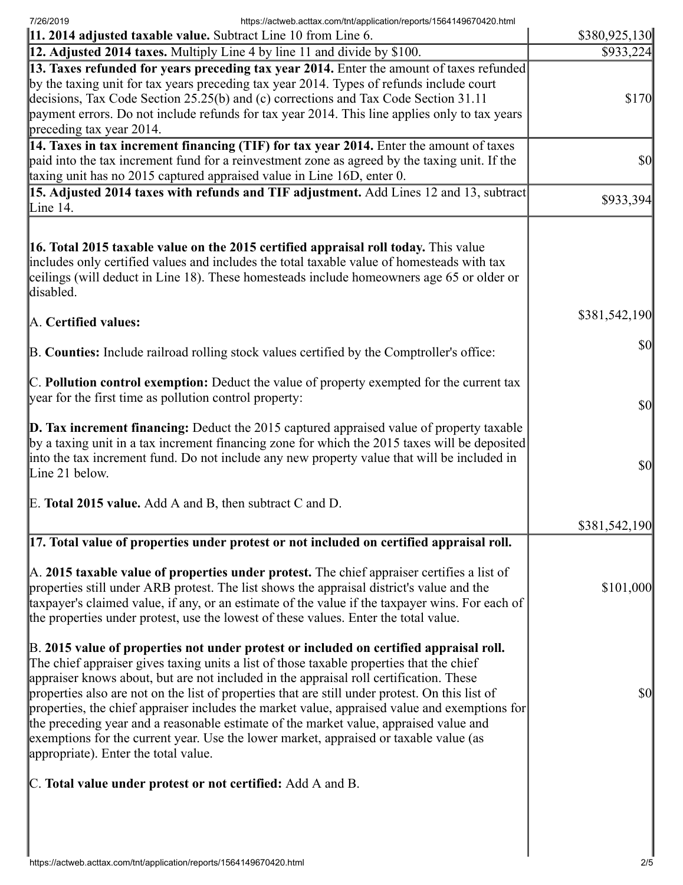7/26/2019 https://actweb.acttax.com/tnt/application/reports/1564149670420.html

| 11. 2014 adjusted taxable value. Subtract Line 10 from Line 6.                                                                                                                                                                                                                                                                                                                                                                                                                                                                                                                                                                                                                                             | \$380,925,130                       |
|------------------------------------------------------------------------------------------------------------------------------------------------------------------------------------------------------------------------------------------------------------------------------------------------------------------------------------------------------------------------------------------------------------------------------------------------------------------------------------------------------------------------------------------------------------------------------------------------------------------------------------------------------------------------------------------------------------|-------------------------------------|
| 12. Adjusted 2014 taxes. Multiply Line 4 by line 11 and divide by \$100.                                                                                                                                                                                                                                                                                                                                                                                                                                                                                                                                                                                                                                   | \$933,224                           |
| 13. Taxes refunded for years preceding tax year 2014. Enter the amount of taxes refunded<br>by the taxing unit for tax years preceding tax year 2014. Types of refunds include court<br>decisions, Tax Code Section 25.25(b) and (c) corrections and Tax Code Section 31.11<br>payment errors. Do not include refunds for tax year 2014. This line applies only to tax years<br>preceding tax year 2014.                                                                                                                                                                                                                                                                                                   | \$170                               |
| 14. Taxes in tax increment financing (TIF) for tax year 2014. Enter the amount of taxes<br>paid into the tax increment fund for a reinvestment zone as agreed by the taxing unit. If the<br>taxing unit has no 2015 captured appraised value in Line 16D, enter 0.                                                                                                                                                                                                                                                                                                                                                                                                                                         | $\vert \mathbf{S} \mathbf{0} \vert$ |
| 15. Adjusted 2014 taxes with refunds and TIF adjustment. Add Lines 12 and 13, subtract<br>Line $14$ .                                                                                                                                                                                                                                                                                                                                                                                                                                                                                                                                                                                                      | \$933,394                           |
| <b>16. Total 2015 taxable value on the 2015 certified appraisal roll today.</b> This value<br>includes only certified values and includes the total taxable value of homesteads with tax<br>ceilings (will deduct in Line 18). These homesteads include homeowners age 65 or older or<br>disabled.                                                                                                                                                                                                                                                                                                                                                                                                         |                                     |
| A. Certified values:                                                                                                                                                                                                                                                                                                                                                                                                                                                                                                                                                                                                                                                                                       | \$381,542,190                       |
| B. Counties: Include railroad rolling stock values certified by the Comptroller's office:                                                                                                                                                                                                                                                                                                                                                                                                                                                                                                                                                                                                                  | <b>\$0</b>                          |
| C. Pollution control exemption: Deduct the value of property exempted for the current tax<br>year for the first time as pollution control property:                                                                                                                                                                                                                                                                                                                                                                                                                                                                                                                                                        | $\vert \mathbf{S} \mathbf{0} \vert$ |
| $\mathbf{D}$ . Tax increment financing: Deduct the 2015 captured appraised value of property taxable<br>by a taxing unit in a tax increment financing zone for which the 2015 taxes will be deposited<br>into the tax increment fund. Do not include any new property value that will be included in<br>Line 21 below.                                                                                                                                                                                                                                                                                                                                                                                     | $\vert \mathbf{S} \mathbf{0} \vert$ |
| E. Total 2015 value. Add A and B, then subtract C and D.                                                                                                                                                                                                                                                                                                                                                                                                                                                                                                                                                                                                                                                   |                                     |
|                                                                                                                                                                                                                                                                                                                                                                                                                                                                                                                                                                                                                                                                                                            | \$381,542,190                       |
| [17. Total value of properties under protest or not included on certified appraisal roll.                                                                                                                                                                                                                                                                                                                                                                                                                                                                                                                                                                                                                  |                                     |
| A. 2015 taxable value of properties under protest. The chief appraiser certifies a list of<br>properties still under ARB protest. The list shows the appraisal district's value and the<br>taxpayer's claimed value, if any, or an estimate of the value if the taxpayer wins. For each of<br>the properties under protest, use the lowest of these values. Enter the total value.                                                                                                                                                                                                                                                                                                                         | \$101,000                           |
| B. 2015 value of properties not under protest or included on certified appraisal roll.<br>The chief appraiser gives taxing units a list of those taxable properties that the chief<br>appraiser knows about, but are not included in the appraisal roll certification. These<br>properties also are not on the list of properties that are still under protest. On this list of<br>properties, the chief appraiser includes the market value, appraised value and exemptions for<br>the preceding year and a reasonable estimate of the market value, appraised value and<br>exemptions for the current year. Use the lower market, appraised or taxable value (as<br>appropriate). Enter the total value. | $\vert \mathbf{S} \mathbf{0} \vert$ |
| C. Total value under protest or not certified: Add A and B.                                                                                                                                                                                                                                                                                                                                                                                                                                                                                                                                                                                                                                                |                                     |
|                                                                                                                                                                                                                                                                                                                                                                                                                                                                                                                                                                                                                                                                                                            |                                     |
|                                                                                                                                                                                                                                                                                                                                                                                                                                                                                                                                                                                                                                                                                                            |                                     |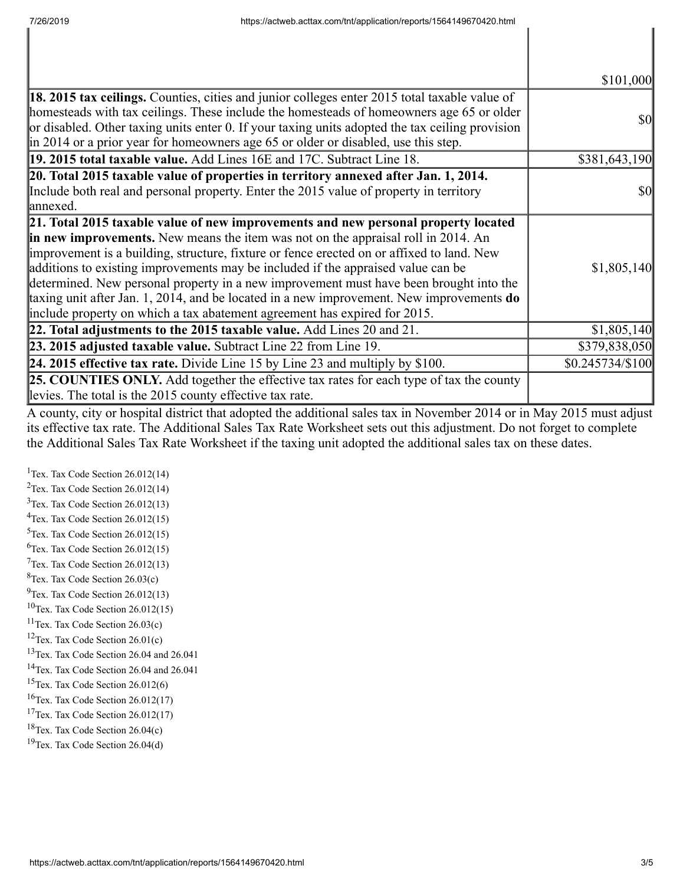|                                                                                                                                                                                                                                                                                                                                                                                                                                                                                                                                                                                                                             | \$101,000         |
|-----------------------------------------------------------------------------------------------------------------------------------------------------------------------------------------------------------------------------------------------------------------------------------------------------------------------------------------------------------------------------------------------------------------------------------------------------------------------------------------------------------------------------------------------------------------------------------------------------------------------------|-------------------|
| <b>18. 2015 tax ceilings.</b> Counties, cities and junior colleges enter 2015 total taxable value of<br>homesteads with tax ceilings. These include the homesteads of homeowners age 65 or older<br>or disabled. Other taxing units enter 0. If your taxing units adopted the tax ceiling provision<br>in 2014 or a prior year for homeowners age 65 or older or disabled, use this step.                                                                                                                                                                                                                                   | <b>\$0</b>        |
| 19. 2015 total taxable value. Add Lines 16E and 17C. Subtract Line 18.                                                                                                                                                                                                                                                                                                                                                                                                                                                                                                                                                      | \$381,643,190     |
| 20. Total 2015 taxable value of properties in territory annexed after Jan. 1, 2014.<br>Include both real and personal property. Enter the 2015 value of property in territory<br>lannexed.                                                                                                                                                                                                                                                                                                                                                                                                                                  | <b>\$0</b>        |
| 21. Total 2015 taxable value of new improvements and new personal property located<br>in new improvements. New means the item was not on the appraisal roll in 2014. An<br>improvement is a building, structure, fixture or fence erected on or affixed to land. New<br>additions to existing improvements may be included if the appraised value can be<br>determined. New personal property in a new improvement must have been brought into the<br>taxing unit after Jan. 1, 2014, and be located in a new improvement. New improvements do<br>include property on which a tax abatement agreement has expired for 2015. | \$1,805,140       |
| 22. Total adjustments to the 2015 taxable value. Add Lines 20 and 21.                                                                                                                                                                                                                                                                                                                                                                                                                                                                                                                                                       | \$1,805,140       |
| 23. 2015 adjusted taxable value. Subtract Line 22 from Line 19.                                                                                                                                                                                                                                                                                                                                                                                                                                                                                                                                                             | \$379,838,050     |
| <b>24. 2015 effective tax rate.</b> Divide Line 15 by Line 23 and multiply by \$100.                                                                                                                                                                                                                                                                                                                                                                                                                                                                                                                                        | $$0.245734/\$100$ |
| <b>25. COUNTIES ONLY.</b> Add together the effective tax rates for each type of tax the county<br>levies. The total is the 2015 county effective tax rate.                                                                                                                                                                                                                                                                                                                                                                                                                                                                  |                   |

A county, city or hospital district that adopted the additional sales tax in November 2014 or in May 2015 must adjust its effective tax rate. The Additional Sales Tax Rate Worksheet sets out this adjustment. Do not forget to complete the Additional Sales Tax Rate Worksheet if the taxing unit adopted the additional sales tax on these dates.

<sup>1</sup>Tex. Tax Code Section  $26.012(14)$ Tex. Tax Code Section 26.012(14) Tex. Tax Code Section 26.012(13) Tex. Tax Code Section 26.012(15) Tex. Tax Code Section 26.012(15)  ${}^{6}$ Tex. Tax Code Section 26.012(15) Tex. Tax Code Section 26.012(13)  ${}^{8}$ Tex. Tax Code Section 26.03(c)  $^{9}$ Tex. Tax Code Section 26.012(13) Tex. Tax Code Section 26.012(15) Tex. Tax Code Section 26.03(c) <sup>12</sup>Tex. Tax Code Section  $26.01(c)$ Tex. Tax Code Section 26.04 and 26.041 Tex. Tax Code Section 26.04 and 26.041 <sup>15</sup>Tex. Tax Code Section  $26.012(6)$ Tex. Tax Code Section 26.012(17) <sup>17</sup>Tex. Tax Code Section  $26.012(17)$ Tex. Tax Code Section 26.04(c) Tex. Tax Code Section 26.04(d)

I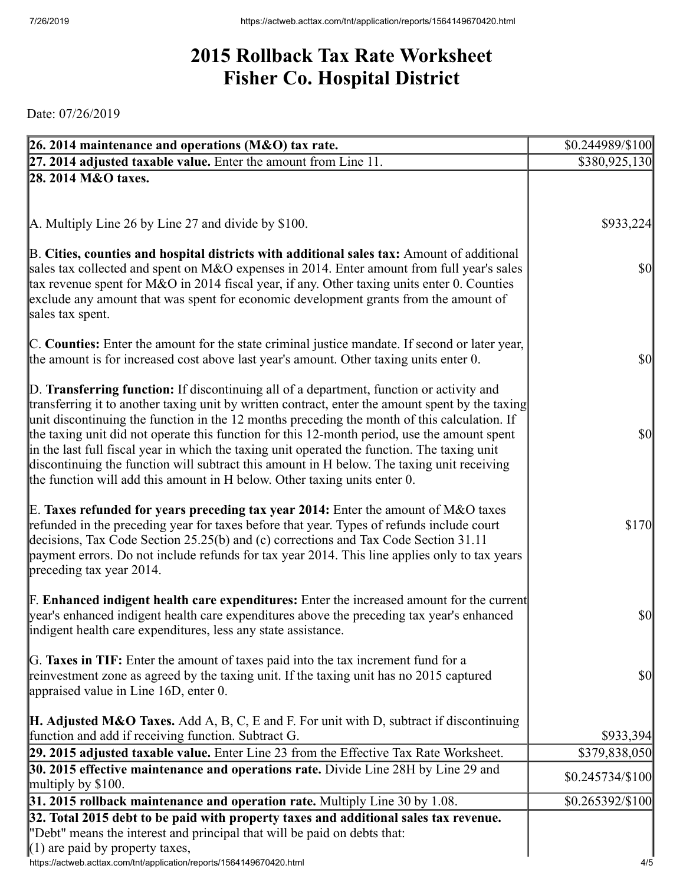## **2015 Rollback Tax Rate Worksheet Fisher Co. Hospital District**

Date: 07/26/2019

| 26. 2014 maintenance and operations (M&O) tax rate.                                                                                                                                                                                                                                                                                                                                                                                                                                                                                                                                                                                                                     | \$0.244989/\$100                    |
|-------------------------------------------------------------------------------------------------------------------------------------------------------------------------------------------------------------------------------------------------------------------------------------------------------------------------------------------------------------------------------------------------------------------------------------------------------------------------------------------------------------------------------------------------------------------------------------------------------------------------------------------------------------------------|-------------------------------------|
| $[27, 2014]$ adjusted taxable value. Enter the amount from Line 11.                                                                                                                                                                                                                                                                                                                                                                                                                                                                                                                                                                                                     | \$380,925,130                       |
| 28. 2014 M&O taxes.                                                                                                                                                                                                                                                                                                                                                                                                                                                                                                                                                                                                                                                     |                                     |
|                                                                                                                                                                                                                                                                                                                                                                                                                                                                                                                                                                                                                                                                         |                                     |
|                                                                                                                                                                                                                                                                                                                                                                                                                                                                                                                                                                                                                                                                         |                                     |
| A. Multiply Line 26 by Line 27 and divide by \$100.                                                                                                                                                                                                                                                                                                                                                                                                                                                                                                                                                                                                                     | \$933,224                           |
| B. Cities, counties and hospital districts with additional sales tax: Amount of additional<br>sales tax collected and spent on M&O expenses in 2014. Enter amount from full year's sales<br>tax revenue spent for M&O in 2014 fiscal year, if any. Other taxing units enter 0. Counties<br>exclude any amount that was spent for economic development grants from the amount of<br>sales tax spent.                                                                                                                                                                                                                                                                     | $ 10\rangle$                        |
| C. Counties: Enter the amount for the state criminal justice mandate. If second or later year,<br>the amount is for increased cost above last year's amount. Other taxing units enter 0.                                                                                                                                                                                                                                                                                                                                                                                                                                                                                | $ 10\rangle$                        |
| D. Transferring function: If discontinuing all of a department, function or activity and<br>transferring it to another taxing unit by written contract, enter the amount spent by the taxing<br>unit discontinuing the function in the 12 months preceding the month of this calculation. If<br>the taxing unit did not operate this function for this 12-month period, use the amount spent<br>in the last full fiscal year in which the taxing unit operated the function. The taxing unit<br>discontinuing the function will subtract this amount in H below. The taxing unit receiving<br>the function will add this amount in H below. Other taxing units enter 0. | $\vert \mathbf{S} \mathbf{0} \vert$ |
| E. Taxes refunded for years preceding tax year 2014: Enter the amount of M&O taxes<br>refunded in the preceding year for taxes before that year. Types of refunds include court<br>decisions, Tax Code Section 25.25(b) and (c) corrections and Tax Code Section 31.11<br>payment errors. Do not include refunds for tax year 2014. This line applies only to tax years<br>$\beta$ preceding tax year 2014.                                                                                                                                                                                                                                                             | \$170                               |
| <b>F. Enhanced indigent health care expenditures:</b> Enter the increased amount for the current<br>year's enhanced indigent health care expenditures above the preceding tax year's enhanced<br>indigent health care expenditures, less any state assistance.                                                                                                                                                                                                                                                                                                                                                                                                          | \$0                                 |
| G. Taxes in TIF: Enter the amount of taxes paid into the tax increment fund for a<br>reinvestment zone as agreed by the taxing unit. If the taxing unit has no 2015 captured<br>appraised value in Line 16D, enter 0.                                                                                                                                                                                                                                                                                                                                                                                                                                                   | \$0                                 |
| <b>H. Adjusted M&amp;O Taxes.</b> Add A, B, C, E and F. For unit with D, subtract if discontinuing                                                                                                                                                                                                                                                                                                                                                                                                                                                                                                                                                                      |                                     |
| function and add if receiving function. Subtract G.                                                                                                                                                                                                                                                                                                                                                                                                                                                                                                                                                                                                                     | \$933,394                           |
| 29. 2015 adjusted taxable value. Enter Line 23 from the Effective Tax Rate Worksheet.                                                                                                                                                                                                                                                                                                                                                                                                                                                                                                                                                                                   | \$379,838,050                       |
| 30. 2015 effective maintenance and operations rate. Divide Line 28H by Line 29 and                                                                                                                                                                                                                                                                                                                                                                                                                                                                                                                                                                                      | $$0.245734/\$100$                   |
| multiply by $$100$ .<br>31. 2015 rollback maintenance and operation rate. Multiply Line 30 by 1.08.                                                                                                                                                                                                                                                                                                                                                                                                                                                                                                                                                                     | \$0.265392/\$100                    |
| 32. Total 2015 debt to be paid with property taxes and additional sales tax revenue.                                                                                                                                                                                                                                                                                                                                                                                                                                                                                                                                                                                    |                                     |
| "Debt" means the interest and principal that will be paid on debts that:                                                                                                                                                                                                                                                                                                                                                                                                                                                                                                                                                                                                |                                     |
| $(1)$ are paid by property taxes,                                                                                                                                                                                                                                                                                                                                                                                                                                                                                                                                                                                                                                       |                                     |
| https://actweb.acttax.com/tnt/application/reports/1564149670420.html                                                                                                                                                                                                                                                                                                                                                                                                                                                                                                                                                                                                    | 4/5                                 |